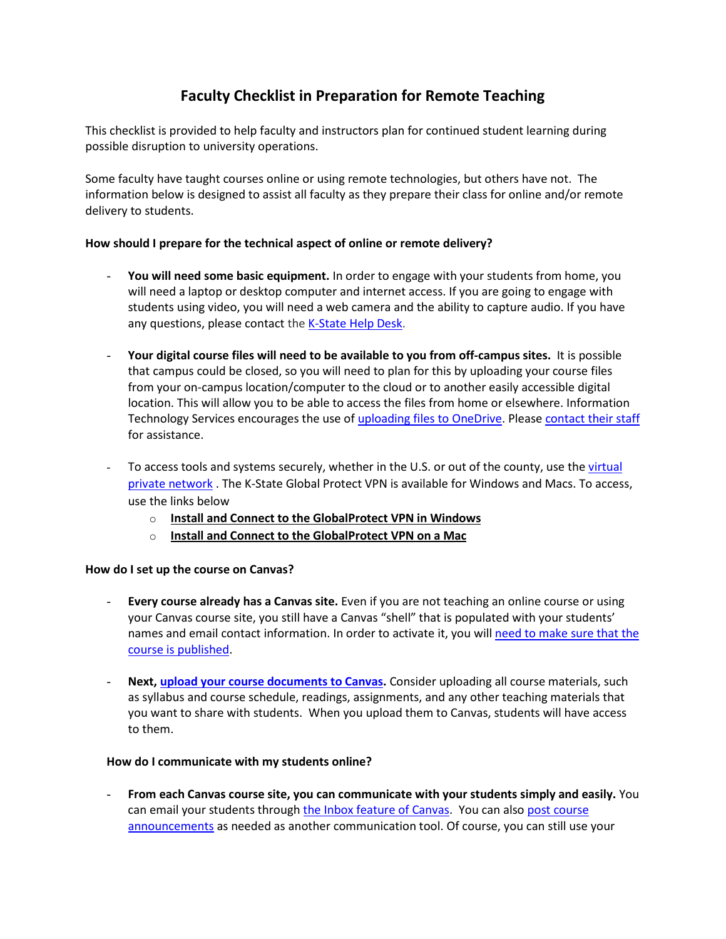# **Faculty Checklist in Preparation for Remote Teaching**

This checklist is provided to help faculty and instructors plan for continued student learning during possible disruption to university operations.

Some faculty have taught courses online or using remote technologies, but others have not. The information below is designed to assist all faculty as they prepare their class for online and/or remote delivery to students.

### **How should I prepare for the technical aspect of online or remote delivery?**

- **You will need some basic equipment.** In order to engage with your students from home, you will need a laptop or desktop computer and internet access. If you are going to engage with students using video, you will need a web camera and the ability to capture audio. If you have any questions, please contact the [K-State Help Desk.](https://www.k-state.edu/its/helpdesk/)
- **Your digital course files will need to be available to you from off-campus sites.** It is possible that campus could be closed, so you will need to plan for this by uploading your course files from your on-campus location/computer to the cloud or to another easily accessible digital location. This will allow you to be able to access the files from home or elsewhere. Information Technology Services encourages the use o[f uploading files to OneDrive.](https://blogs.k-state.edu/it-news/tag/onedrive/) Please [contact their staff](https://blogs.k-state.edu/it-news/contact-us/) for assistance.
- To access tools and systems securely, whether in the U.S. or out of the county, use the virtual [private network](https://www.k-state.edu/its/security/secure-data/vpn/index.html) . The K-State Global Protect VPN is available for Windows and Macs. To access, use the links below
	- o **[Install and Connect to the GlobalProtect VPN in Windows](https://kstate.service-now.com/kb_view.do?sys_kb_id=a19bdc76db5bb700da0b9447db9619cf)**
	- o **[Install and Connect to the GlobalProtect VPN on a Mac](https://kstate.service-now.com/kb_view.do?sysparm_article=KB14182)**

#### **How do I set up the course on Canvas?**

- **Every course already has a Canvas site.** Even if you are not teaching an online course or using your Canvas course site, you still have a Canvas "shell" that is populated with your students' names and email contact information. In order to activate it, you wil[l need to make sure that the](https://community.canvaslms.com/docs/DOC-13030-415257126)  [course is published.](https://community.canvaslms.com/docs/DOC-13030-415257126)
- **Next, [upload your course documents to Canvas.](https://community.canvaslms.com/docs/DOC-13033-415241383)** Consider uploading all course materials, such as syllabus and course schedule, readings, assignments, and any other teaching materials that you want to share with students. When you upload them to Canvas, students will have access to them.

#### **How do I communicate with my students online?**

- **From each Canvas course site, you can communicate with your students simply and easily.** You can email your students throug[h the Inbox feature](https://community.canvaslms.com/docs/DOC-12810-4152719677) of Canvas. You can als[o post course](https://community.canvaslms.com/docs/DOC-10405-415250731)  [announcements](https://community.canvaslms.com/docs/DOC-10405-415250731) as needed as another communication tool. Of course, you can still use your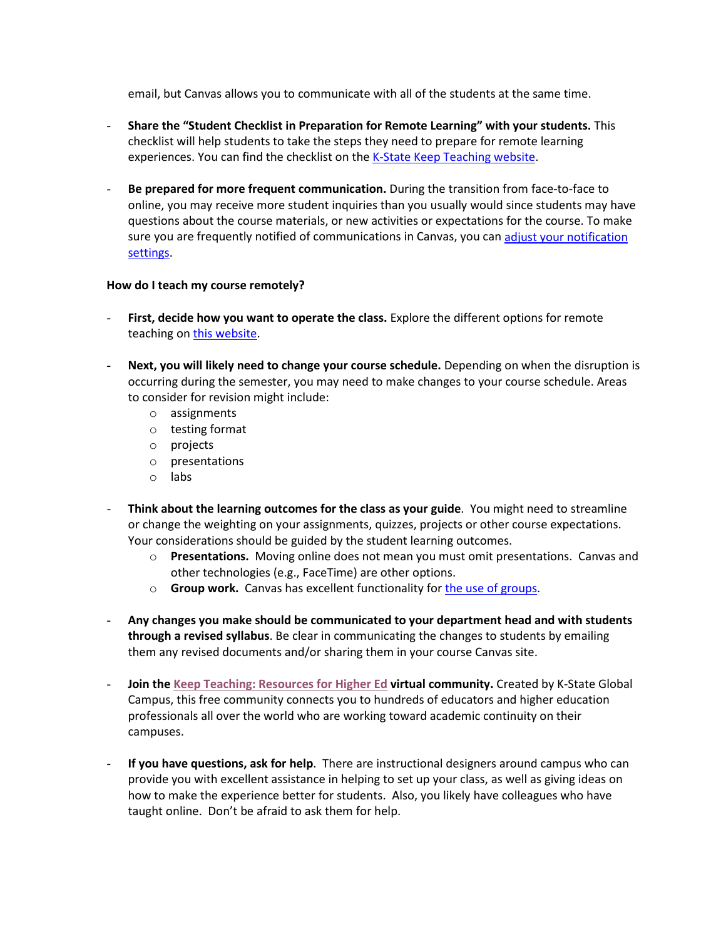email, but Canvas allows you to communicate with all of the students at the same time.

- **Share the "Student Checklist in Preparation for Remote Learning" with your students.** This checklist will help students to take the steps they need to prepare for remote learning experiences. You can find the checklist on the [K-State Keep Teaching website.](https://ksu.edu/keepteaching)
- **Be prepared for more frequent communication.** During the transition from face-to-face to online, you may receive more student inquiries than you usually would since students may have questions about the course materials, or new activities or expectations for the course. To make sure you are frequently notified of communications in Canvas, you ca[n adjust your notification](https://community.canvaslms.com/docs/DOC-13111-4152719738)  [settings.](https://community.canvaslms.com/docs/DOC-13111-4152719738)

#### **How do I teach my course remotely?**

- **First, decide how you want to operate the class.** Explore the different options for remote teaching on [this website.](https://www.k-state.edu/keepteaching/strategies.html)
- **Next, you will likely need to change your course schedule.** Depending on when the disruption is occurring during the semester, you may need to make changes to your course schedule. Areas to consider for revision might include:
	- o assignments
	- o testing format
	- o projects
	- o presentations
	- o labs
- **Think about the learning outcomes for the class as your guide**. You might need to streamline or change the weighting on your assignments, quizzes, projects or other course expectations. Your considerations should be guided by the student learning outcomes.
	- o **Presentations.** Moving online does not mean you must omit presentations. Canvas and other technologies (e.g., FaceTime) are other options.
	- o **Group work.** Canvas has excellent functionality fo[r the use of groups.](https://community.canvaslms.com/docs/DOC-10717-67952724469)
- **Any changes you make should be communicated to your department head and with students through a revised syllabus**. Be clear in communicating the changes to students by emailing them any revised documents and/or sharing them in your course Canvas site.
- **Join the [Keep Teaching: Resources for Higher Ed](https://keep-teaching-resources-for-higher-ed.mn.co/share/zcTzuEj_gszfyTfc?utm_source=manual) virtual community.** Created by K-State Global Campus, this free community connects you to hundreds of educators and higher education professionals all over the world who are working toward academic continuity on their campuses.
- **If you have questions, ask for help**. There are instructional designers around campus who can provide you with excellent assistance in helping to set up your class, as well as giving ideas on how to make the experience better for students. Also, you likely have colleagues who have taught online. Don't be afraid to ask them for help.